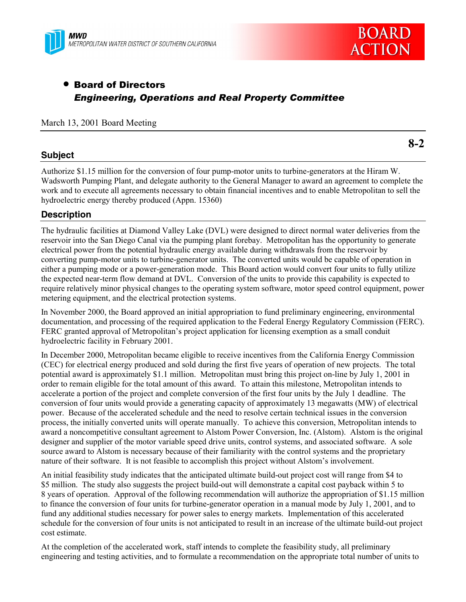



# • Board of Directors *Engineering, Operations and Real Property Committee*

## March 13, 2001 Board Meeting

## **Subject**

**8-2**

Authorize \$1.15 million for the conversion of four pump-motor units to turbine-generators at the Hiram W. Wadsworth Pumping Plant, and delegate authority to the General Manager to award an agreement to complete the work and to execute all agreements necessary to obtain financial incentives and to enable Metropolitan to sell the hydroelectric energy thereby produced (Appn. 15360)

## **Description**

The hydraulic facilities at Diamond Valley Lake (DVL) were designed to direct normal water deliveries from the reservoir into the San Diego Canal via the pumping plant forebay. Metropolitan has the opportunity to generate electrical power from the potential hydraulic energy available during withdrawals from the reservoir by converting pump-motor units to turbine-generator units. The converted units would be capable of operation in either a pumping mode or a power-generation mode. This Board action would convert four units to fully utilize the expected near-term flow demand at DVL. Conversion of the units to provide this capability is expected to require relatively minor physical changes to the operating system software, motor speed control equipment, power metering equipment, and the electrical protection systems.

In November 2000, the Board approved an initial appropriation to fund preliminary engineering, environmental documentation, and processing of the required application to the Federal Energy Regulatory Commission (FERC). FERC granted approval of Metropolitan's project application for licensing exemption as a small conduit hydroelectric facility in February 2001.

In December 2000, Metropolitan became eligible to receive incentives from the California Energy Commission (CEC) for electrical energy produced and sold during the first five years of operation of new projects. The total potential award is approximately \$1.1 million. Metropolitan must bring this project on-line by July 1, 2001 in order to remain eligible for the total amount of this award. To attain this milestone, Metropolitan intends to accelerate a portion of the project and complete conversion of the first four units by the July 1 deadline. The conversion of four units would provide a generating capacity of approximately 13 megawatts (MW) of electrical power. Because of the accelerated schedule and the need to resolve certain technical issues in the conversion process, the initially converted units will operate manually. To achieve this conversion, Metropolitan intends to award a noncompetitive consultant agreement to Alstom Power Conversion, Inc. (Alstom). Alstom is the original designer and supplier of the motor variable speed drive units, control systems, and associated software. A sole source award to Alstom is necessary because of their familiarity with the control systems and the proprietary nature of their software. It is not feasible to accomplish this project without Alstom's involvement.

An initial feasibility study indicates that the anticipated ultimate build-out project cost will range from \$4 to \$5 million. The study also suggests the project build-out will demonstrate a capital cost payback within 5 to 8 years of operation. Approval of the following recommendation will authorize the appropriation of \$1.15 million to finance the conversion of four units for turbine-generator operation in a manual mode by July 1, 2001, and to fund any additional studies necessary for power sales to energy markets. Implementation of this accelerated schedule for the conversion of four units is not anticipated to result in an increase of the ultimate build-out project cost estimate.

At the completion of the accelerated work, staff intends to complete the feasibility study, all preliminary engineering and testing activities, and to formulate a recommendation on the appropriate total number of units to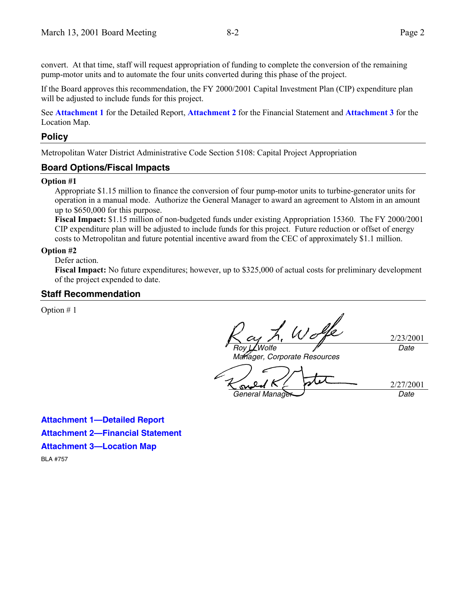convert. At that time, staff will request appropriation of funding to complete the conversion of the remaining pump-motor units and to automate the four units converted during this phase of the project.

If the Board approves this recommendation, the FY 2000/2001 Capital Investment Plan (CIP) expenditure plan will be adjusted to include funds for this project.

See **Attachment 1** for the Detailed Report, **Attachment 2** for the Financial Statement and **Attachment 3** for the Location Map.

### **Policy**

Metropolitan Water District Administrative Code Section 5108: Capital Project Appropriation

## **Board Options/Fiscal Impacts**

#### **Option #1**

Appropriate \$1.15 million to finance the conversion of four pump-motor units to turbine-generator units for operation in a manual mode. Authorize the General Manager to award an agreement to Alstom in an amount up to \$650,000 for this purpose.

**Fiscal Impact:** \$1.15 million of non-budgeted funds under existing Appropriation 15360. The FY 2000/2001 CIP expenditure plan will be adjusted to include funds for this project. Future reduction or offset of energy costs to Metropolitan and future potential incentive award from the CEC of approximately \$1.1 million.

#### **Option #2**

#### Defer action.

**Fiscal Impact:** No future expenditures; however, up to \$325,000 of actual costs for preliminary development of the project expended to date.

#### **Staff Recommendation**

Option # 1

Wolfe *Roy L. Wolfe*

2/23/2001 *Date*

*Manager, Corporate Resources*

*General Manager Date*

2/27/2001

**Attachment 1—Detailed Report Attachment 2—Financial Statement Attachment 3—Location Map**

BLA #757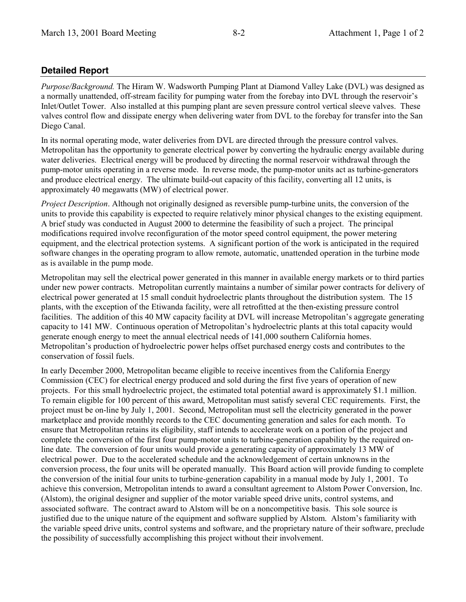## **Detailed Report**

*Purpose/Background.* The Hiram W. Wadsworth Pumping Plant at Diamond Valley Lake (DVL) was designed as a normally unattended, off-stream facility for pumping water from the forebay into DVL through the reservoir's Inlet/Outlet Tower. Also installed at this pumping plant are seven pressure control vertical sleeve valves. These valves control flow and dissipate energy when delivering water from DVL to the forebay for transfer into the San Diego Canal.

In its normal operating mode, water deliveries from DVL are directed through the pressure control valves. Metropolitan has the opportunity to generate electrical power by converting the hydraulic energy available during water deliveries. Electrical energy will be produced by directing the normal reservoir withdrawal through the pump-motor units operating in a reverse mode. In reverse mode, the pump-motor units act as turbine-generators and produce electrical energy. The ultimate build-out capacity of this facility, converting all 12 units, is approximately 40 megawatts (MW) of electrical power.

*Project Description*. Although not originally designed as reversible pump-turbine units, the conversion of the units to provide this capability is expected to require relatively minor physical changes to the existing equipment. A brief study was conducted in August 2000 to determine the feasibility of such a project. The principal modifications required involve reconfiguration of the motor speed control equipment, the power metering equipment, and the electrical protection systems. A significant portion of the work is anticipated in the required software changes in the operating program to allow remote, automatic, unattended operation in the turbine mode as is available in the pump mode.

Metropolitan may sell the electrical power generated in this manner in available energy markets or to third parties under new power contracts. Metropolitan currently maintains a number of similar power contracts for delivery of electrical power generated at 15 small conduit hydroelectric plants throughout the distribution system. The 15 plants, with the exception of the Etiwanda facility, were all retrofitted at the then-existing pressure control facilities. The addition of this 40 MW capacity facility at DVL will increase Metropolitan's aggregate generating capacity to 141 MW. Continuous operation of Metropolitan's hydroelectric plants at this total capacity would generate enough energy to meet the annual electrical needs of 141,000 southern California homes. Metropolitanís production of hydroelectric power helps offset purchased energy costs and contributes to the conservation of fossil fuels.

In early December 2000, Metropolitan became eligible to receive incentives from the California Energy Commission (CEC) for electrical energy produced and sold during the first five years of operation of new projects. For this small hydroelectric project, the estimated total potential award is approximately \$1.1 million. To remain eligible for 100 percent of this award, Metropolitan must satisfy several CEC requirements. First, the project must be on-line by July 1, 2001. Second, Metropolitan must sell the electricity generated in the power marketplace and provide monthly records to the CEC documenting generation and sales for each month. To ensure that Metropolitan retains its eligibility, staff intends to accelerate work on a portion of the project and complete the conversion of the first four pump-motor units to turbine-generation capability by the required online date. The conversion of four units would provide a generating capacity of approximately 13 MW of electrical power. Due to the accelerated schedule and the acknowledgement of certain unknowns in the conversion process, the four units will be operated manually. This Board action will provide funding to complete the conversion of the initial four units to turbine-generation capability in a manual mode by July 1, 2001. To achieve this conversion, Metropolitan intends to award a consultant agreement to Alstom Power Conversion, Inc. (Alstom), the original designer and supplier of the motor variable speed drive units, control systems, and associated software. The contract award to Alstom will be on a noncompetitive basis. This sole source is justified due to the unique nature of the equipment and software supplied by Alstom. Alstom's familiarity with the variable speed drive units, control systems and software, and the proprietary nature of their software, preclude the possibility of successfully accomplishing this project without their involvement.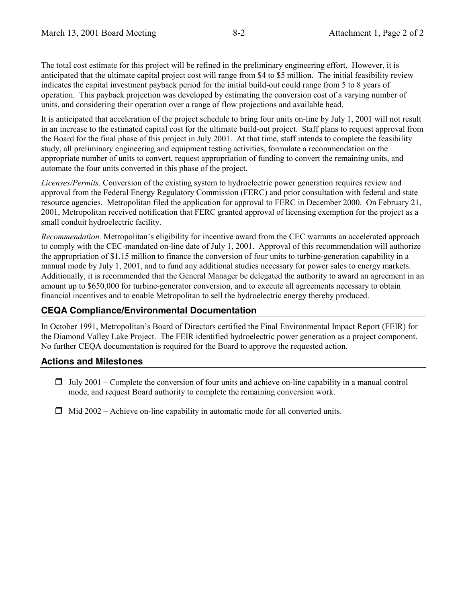The total cost estimate for this project will be refined in the preliminary engineering effort. However, it is anticipated that the ultimate capital project cost will range from \$4 to \$5 million. The initial feasibility review indicates the capital investment payback period for the initial build-out could range from 5 to 8 years of operation. This payback projection was developed by estimating the conversion cost of a varying number of units, and considering their operation over a range of flow projections and available head.

It is anticipated that acceleration of the project schedule to bring four units on-line by July 1, 2001 will not result in an increase to the estimated capital cost for the ultimate build-out project. Staff plans to request approval from the Board for the final phase of this project in July 2001. At that time, staff intends to complete the feasibility study, all preliminary engineering and equipment testing activities, formulate a recommendation on the appropriate number of units to convert, request appropriation of funding to convert the remaining units, and automate the four units converted in this phase of the project.

*Licenses/Permits.* Conversion of the existing system to hydroelectric power generation requires review and approval from the Federal Energy Regulatory Commission (FERC) and prior consultation with federal and state resource agencies. Metropolitan filed the application for approval to FERC in December 2000. On February 21, 2001, Metropolitan received notification that FERC granted approval of licensing exemption for the project as a small conduit hydroelectric facility.

*Recommendation.* Metropolitanís eligibility for incentive award from the CEC warrants an accelerated approach to comply with the CEC-mandated on-line date of July 1, 2001. Approval of this recommendation will authorize the appropriation of \$1.15 million to finance the conversion of four units to turbine-generation capability in a manual mode by July 1, 2001, and to fund any additional studies necessary for power sales to energy markets. Additionally, it is recommended that the General Manager be delegated the authority to award an agreement in an amount up to \$650,000 for turbine-generator conversion, and to execute all agreements necessary to obtain financial incentives and to enable Metropolitan to sell the hydroelectric energy thereby produced.

## **CEQA Compliance/Environmental Documentation**

In October 1991, Metropolitanís Board of Directors certified the Final Environmental Impact Report (FEIR) for the Diamond Valley Lake Project. The FEIR identified hydroelectric power generation as a project component. No further CEQA documentation is required for the Board to approve the requested action.

## **Actions and Milestones**

- $\Box$  July 2001 Complete the conversion of four units and achieve on-line capability in a manual control mode, and request Board authority to complete the remaining conversion work.
- $\Box$  Mid 2002 Achieve on-line capability in automatic mode for all converted units.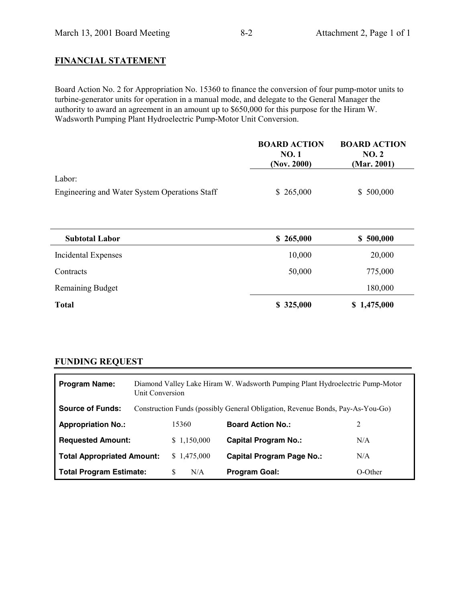## **FINANCIAL STATEMENT**

Board Action No. 2 for Appropriation No. 15360 to finance the conversion of four pump-motor units to turbine-generator units for operation in a manual mode, and delegate to the General Manager the authority to award an agreement in an amount up to \$650,000 for this purpose for the Hiram W. Wadsworth Pumping Plant Hydroelectric Pump-Motor Unit Conversion.

|                                               | <b>BOARD ACTION</b><br><b>NO.1</b><br>(Nov. 2000) | <b>BOARD ACTION</b><br>NO.2<br>(Mar. 2001) |
|-----------------------------------------------|---------------------------------------------------|--------------------------------------------|
| Labor:                                        |                                                   |                                            |
| Engineering and Water System Operations Staff | \$265,000                                         | \$500,000                                  |
| <b>Subtotal Labor</b>                         | \$265,000                                         | \$500,000                                  |
| <b>Incidental Expenses</b>                    | 10,000                                            | 20,000                                     |
| Contracts                                     | 50,000                                            | 775,000                                    |
| <b>Remaining Budget</b>                       |                                                   | 180,000                                    |
| <b>Total</b>                                  | \$325,000                                         | \$1,475,000                                |

## **FUNDING REQUEST**

| <b>Program Name:</b>              | Diamond Valley Lake Hiram W. Wadsworth Pumping Plant Hydroelectric Pump-Motor<br>Unit Conversion |             |                                  |         |
|-----------------------------------|--------------------------------------------------------------------------------------------------|-------------|----------------------------------|---------|
| <b>Source of Funds:</b>           | Construction Funds (possibly General Obligation, Revenue Bonds, Pay-As-You-Go)                   |             |                                  |         |
| <b>Appropriation No.:</b>         |                                                                                                  | 15360       | <b>Board Action No.:</b>         | 2       |
| <b>Requested Amount:</b>          |                                                                                                  | \$1,150,000 | <b>Capital Program No.:</b>      | N/A     |
| <b>Total Appropriated Amount:</b> |                                                                                                  | \$1,475,000 | <b>Capital Program Page No.:</b> | N/A     |
| <b>Total Program Estimate:</b>    |                                                                                                  | N/A<br>S    | <b>Program Goal:</b>             | O-Other |